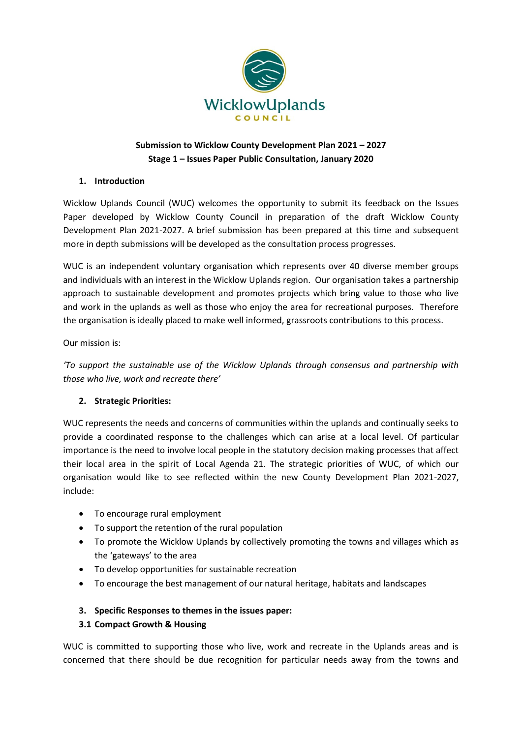

# **Submission to Wicklow County Development Plan 2021 – 2027 Stage 1 – Issues Paper Public Consultation, January 2020**

## **1. Introduction**

Wicklow Uplands Council (WUC) welcomes the opportunity to submit its feedback on the Issues Paper developed by Wicklow County Council in preparation of the draft Wicklow County Development Plan 2021-2027. A brief submission has been prepared at this time and subsequent more in depth submissions will be developed as the consultation process progresses.

WUC is an independent voluntary organisation which represents over 40 diverse member groups and individuals with an interest in the Wicklow Uplands region. Our organisation takes a partnership approach to sustainable development and promotes projects which bring value to those who live and work in the uplands as well as those who enjoy the area for recreational purposes. Therefore the organisation is ideally placed to make well informed, grassroots contributions to this process.

### Our mission is:

*'To support the sustainable use of the Wicklow Uplands through consensus and partnership with those who live, work and recreate there'*

# **2. Strategic Priorities:**

WUC represents the needs and concerns of communities within the uplands and continually seeks to provide a coordinated response to the challenges which can arise at a local level. Of particular importance is the need to involve local people in the statutory decision making processes that affect their local area in the spirit of Local Agenda 21. The strategic priorities of WUC, of which our organisation would like to see reflected within the new County Development Plan 2021-2027, include:

- To encourage rural employment
- To support the retention of the rural population
- To promote the Wicklow Uplands by collectively promoting the towns and villages which as the 'gateways' to the area
- To develop opportunities for sustainable recreation
- To encourage the best management of our natural heritage, habitats and landscapes

### **3. Specific Responses to themes in the issues paper:**

### **3.1 Compact Growth & Housing**

WUC is committed to supporting those who live, work and recreate in the Uplands areas and is concerned that there should be due recognition for particular needs away from the towns and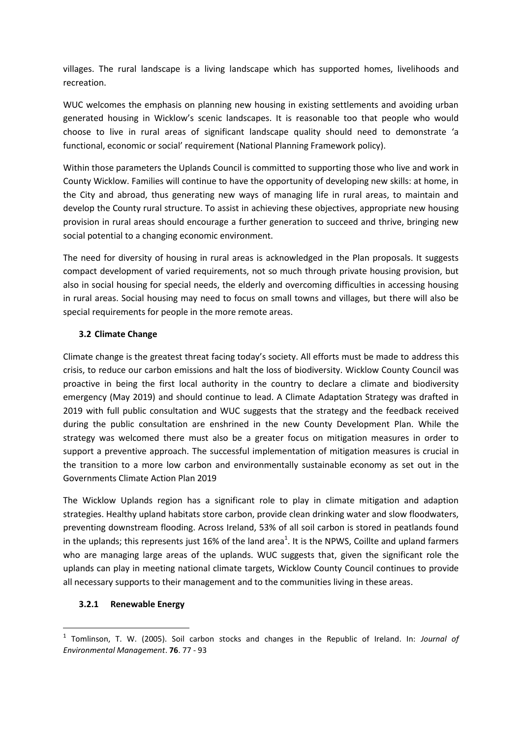villages. The rural landscape is a living landscape which has supported homes, livelihoods and recreation.

WUC welcomes the emphasis on planning new housing in existing settlements and avoiding urban generated housing in Wicklow's scenic landscapes. It is reasonable too that people who would choose to live in rural areas of significant landscape quality should need to demonstrate 'a functional, economic or social' requirement (National Planning Framework policy).

Within those parameters the Uplands Council is committed to supporting those who live and work in County Wicklow. Families will continue to have the opportunity of developing new skills: at home, in the City and abroad, thus generating new ways of managing life in rural areas, to maintain and develop the County rural structure. To assist in achieving these objectives, appropriate new housing provision in rural areas should encourage a further generation to succeed and thrive, bringing new social potential to a changing economic environment.

The need for diversity of housing in rural areas is acknowledged in the Plan proposals. It suggests compact development of varied requirements, not so much through private housing provision, but also in social housing for special needs, the elderly and overcoming difficulties in accessing housing in rural areas. Social housing may need to focus on small towns and villages, but there will also be special requirements for people in the more remote areas.

### **3.2 Climate Change**

Climate change is the greatest threat facing today's society. All efforts must be made to address this crisis, to reduce our carbon emissions and halt the loss of biodiversity. Wicklow County Council was proactive in being the first local authority in the country to declare a climate and biodiversity emergency (May 2019) and should continue to lead. A Climate Adaptation Strategy was drafted in 2019 with full public consultation and WUC suggests that the strategy and the feedback received during the public consultation are enshrined in the new County Development Plan. While the strategy was welcomed there must also be a greater focus on mitigation measures in order to support a preventive approach. The successful implementation of mitigation measures is crucial in the transition to a more low carbon and environmentally sustainable economy as set out in the Governments Climate Action Plan 2019

The Wicklow Uplands region has a significant role to play in climate mitigation and adaption strategies. Healthy upland habitats store carbon, provide clean drinking water and slow floodwaters, preventing downstream flooding. Across Ireland, 53% of all soil carbon is stored in peatlands found in the uplands; this represents just 16% of the land area<sup>1</sup>. It is the NPWS, Coillte and upland farmers who are managing large areas of the uplands. WUC suggests that, given the significant role the uplands can play in meeting national climate targets, Wicklow County Council continues to provide all necessary supports to their management and to the communities living in these areas.

### **3.2.1 Renewable Energy**

**.** 

<sup>&</sup>lt;sup>1</sup> Tomlinson, T. W. (2005). Soil carbon stocks and changes in the Republic of Ireland. In: *Journal of Environmental Management*. **76**. 77 - 93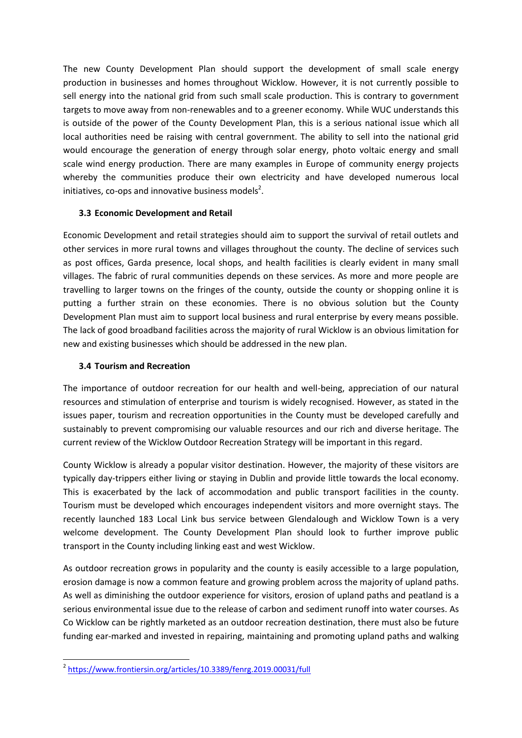The new County Development Plan should support the development of small scale energy production in businesses and homes throughout Wicklow. However, it is not currently possible to sell energy into the national grid from such small scale production. This is contrary to government targets to move away from non-renewables and to a greener economy. While WUC understands this is outside of the power of the County Development Plan, this is a serious national issue which all local authorities need be raising with central government. The ability to sell into the national grid would encourage the generation of energy through solar energy, photo voltaic energy and small scale wind energy production. There are many examples in Europe of community energy projects whereby the communities produce their own electricity and have developed numerous local initiatives, co-ops and innovative business models<sup>2</sup>.

### **3.3 Economic Development and Retail**

Economic Development and retail strategies should aim to support the survival of retail outlets and other services in more rural towns and villages throughout the county. The decline of services such as post offices, Garda presence, local shops, and health facilities is clearly evident in many small villages. The fabric of rural communities depends on these services. As more and more people are travelling to larger towns on the fringes of the county, outside the county or shopping online it is putting a further strain on these economies. There is no obvious solution but the County Development Plan must aim to support local business and rural enterprise by every means possible. The lack of good broadband facilities across the majority of rural Wicklow is an obvious limitation for new and existing businesses which should be addressed in the new plan.

## **3.4 Tourism and Recreation**

The importance of outdoor recreation for our health and well-being, appreciation of our natural resources and stimulation of enterprise and tourism is widely recognised. However, as stated in the issues paper, tourism and recreation opportunities in the County must be developed carefully and sustainably to prevent compromising our valuable resources and our rich and diverse heritage. The current review of the Wicklow Outdoor Recreation Strategy will be important in this regard.

County Wicklow is already a popular visitor destination. However, the majority of these visitors are typically day-trippers either living or staying in Dublin and provide little towards the local economy. This is exacerbated by the lack of accommodation and public transport facilities in the county. Tourism must be developed which encourages independent visitors and more overnight stays. The recently launched 183 Local Link bus service between Glendalough and Wicklow Town is a very welcome development. The County Development Plan should look to further improve public transport in the County including linking east and west Wicklow.

As outdoor recreation grows in popularity and the county is easily accessible to a large population, erosion damage is now a common feature and growing problem across the majority of upland paths. As well as diminishing the outdoor experience for visitors, erosion of upland paths and peatland is a serious environmental issue due to the release of carbon and sediment runoff into water courses. As Co Wicklow can be rightly marketed as an outdoor recreation destination, there must also be future funding ear-marked and invested in repairing, maintaining and promoting upland paths and walking

 2 <https://www.frontiersin.org/articles/10.3389/fenrg.2019.00031/full>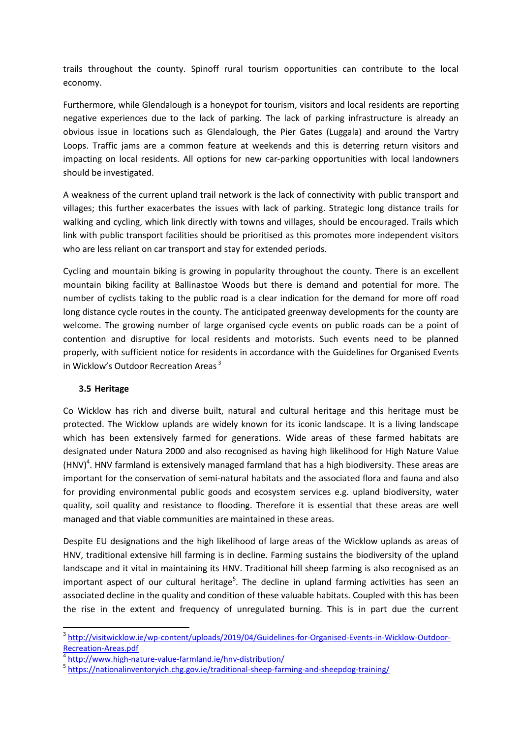trails throughout the county. Spinoff rural tourism opportunities can contribute to the local economy.

Furthermore, while Glendalough is a honeypot for tourism, visitors and local residents are reporting negative experiences due to the lack of parking. The lack of parking infrastructure is already an obvious issue in locations such as Glendalough, the Pier Gates (Luggala) and around the Vartry Loops. Traffic jams are a common feature at weekends and this is deterring return visitors and impacting on local residents. All options for new car-parking opportunities with local landowners should be investigated.

A weakness of the current upland trail network is the lack of connectivity with public transport and villages; this further exacerbates the issues with lack of parking. Strategic long distance trails for walking and cycling, which link directly with towns and villages, should be encouraged. Trails which link with public transport facilities should be prioritised as this promotes more independent visitors who are less reliant on car transport and stay for extended periods.

Cycling and mountain biking is growing in popularity throughout the county. There is an excellent mountain biking facility at Ballinastoe Woods but there is demand and potential for more. The number of cyclists taking to the public road is a clear indication for the demand for more off road long distance cycle routes in the county. The anticipated greenway developments for the county are welcome. The growing number of large organised cycle events on public roads can be a point of contention and disruptive for local residents and motorists. Such events need to be planned properly, with sufficient notice for residents in accordance with the Guidelines for Organised Events in Wicklow's Outdoor Recreation Areas <sup>3</sup>

### **3.5 Heritage**

**.** 

Co Wicklow has rich and diverse built, natural and cultural heritage and this heritage must be protected. The Wicklow uplands are widely known for its iconic landscape. It is a living landscape which has been extensively farmed for generations. Wide areas of these farmed habitats are designated under Natura 2000 and also recognised as having high likelihood for High Nature Value (HNV)<sup>4</sup>. HNV farmland is extensively managed farmland that has a high biodiversity. These areas are important for the conservation of semi-natural habitats and the associated flora and fauna and also for providing environmental public goods and ecosystem services e.g. upland biodiversity, water quality, soil quality and resistance to flooding. Therefore it is essential that these areas are well managed and that viable communities are maintained in these areas.

Despite EU designations and the high likelihood of large areas of the Wicklow uplands as areas of HNV, traditional extensive hill farming is in decline. Farming sustains the biodiversity of the upland landscape and it vital in maintaining its HNV. Traditional hill sheep farming is also recognised as an important aspect of our cultural heritage<sup>5</sup>. The decline in upland farming activities has seen an associated decline in the quality and condition of these valuable habitats. Coupled with this has been the rise in the extent and frequency of unregulated burning. This is in part due the current

<sup>&</sup>lt;sup>3</sup> [http://visitwicklow.ie/wp-content/uploads/2019/04/Guidelines-for-Organised-Events-in-Wicklow-Outdoor-](http://visitwicklow.ie/wp-content/uploads/2019/04/Guidelines-for-Organised-Events-in-Wicklow-Outdoor-Recreation-Areas.pdf)[Recreation-Areas.pdf](http://visitwicklow.ie/wp-content/uploads/2019/04/Guidelines-for-Organised-Events-in-Wicklow-Outdoor-Recreation-Areas.pdf)

<sup>4</sup> <http://www.high-nature-value-farmland.ie/hnv-distribution/>

<sup>&</sup>lt;sup>5</sup> <https://nationalinventoryich.chg.gov.ie/traditional-sheep-farming-and-sheepdog-training/>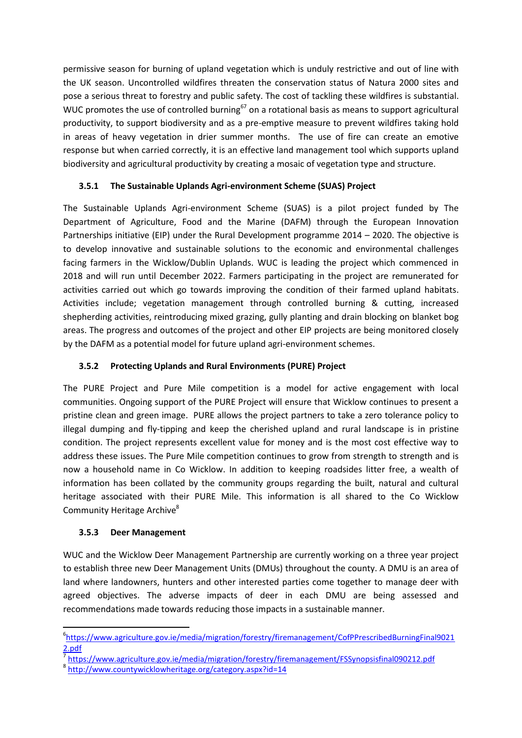permissive season for burning of upland vegetation which is unduly restrictive and out of line with the UK season. Uncontrolled wildfires threaten the conservation status of Natura 2000 sites and pose a serious threat to forestry and public safety. The cost of tackling these wildfires is substantial. WUC promotes the use of controlled burning<sup>67</sup> on a rotational basis as means to support agricultural productivity, to support biodiversity and as a pre-emptive measure to prevent wildfires taking hold in areas of heavy vegetation in drier summer months. The use of fire can create an emotive response but when carried correctly, it is an effective land management tool which supports upland biodiversity and agricultural productivity by creating a mosaic of vegetation type and structure.

## **3.5.1 The Sustainable Uplands Agri-environment Scheme (SUAS) Project**

The Sustainable Uplands Agri-environment Scheme (SUAS) is a pilot project funded by The Department of Agriculture, Food and the Marine (DAFM) through the European Innovation Partnerships initiative (EIP) under the Rural Development programme 2014 – 2020. The objective is to develop innovative and sustainable solutions to the economic and environmental challenges facing farmers in the Wicklow/Dublin Uplands. WUC is leading the project which commenced in 2018 and will run until December 2022. Farmers participating in the project are remunerated for activities carried out which go towards improving the condition of their farmed upland habitats. Activities include; vegetation management through controlled burning & cutting, increased shepherding activities, reintroducing mixed grazing, gully planting and drain blocking on blanket bog areas. The progress and outcomes of the project and other EIP projects are being monitored closely by the DAFM as a potential model for future upland agri-environment schemes.

## **3.5.2 Protecting Uplands and Rural Environments (PURE) Project**

The PURE Project and Pure Mile competition is a model for active engagement with local communities. Ongoing support of the PURE Project will ensure that Wicklow continues to present a pristine clean and green image. PURE allows the project partners to take a zero tolerance policy to illegal dumping and fly-tipping and keep the cherished upland and rural landscape is in pristine condition. The project represents excellent value for money and is the most cost effective way to address these issues. The Pure Mile competition continues to grow from strength to strength and is now a household name in Co Wicklow. In addition to keeping roadsides litter free, a wealth of information has been collated by the community groups regarding the built, natural and cultural heritage associated with their PURE Mile. This information is all shared to the Co Wicklow Community Heritage Archive<sup>8</sup>

### **3.5.3 Deer Management**

**.** 

WUC and the Wicklow Deer Management Partnership are currently working on a three year project to establish three new Deer Management Units (DMUs) throughout the county. A DMU is an area of land where landowners, hunters and other interested parties come together to manage deer with agreed objectives. The adverse impacts of deer in each DMU are being assessed and recommendations made towards reducing those impacts in a sustainable manner.

<sup>6</sup> [https://www.agriculture.gov.ie/media/migration/forestry/firemanagement/CofPPrescribedBurningFinal9021](https://www.agriculture.gov.ie/media/migration/forestry/firemanagement/CofPPrescribedBurningFinal90212.pdf) [2.pdf](https://www.agriculture.gov.ie/media/migration/forestry/firemanagement/CofPPrescribedBurningFinal90212.pdf)

<sup>7</sup> <https://www.agriculture.gov.ie/media/migration/forestry/firemanagement/FSSynopsisfinal090212.pdf>

<sup>8</sup> <http://www.countywicklowheritage.org/category.aspx?id=14>